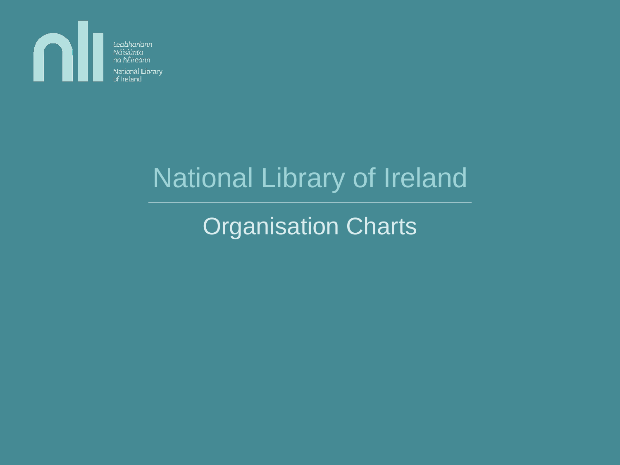

na hÉireann National Library

# National Library of Ireland

Organisation Charts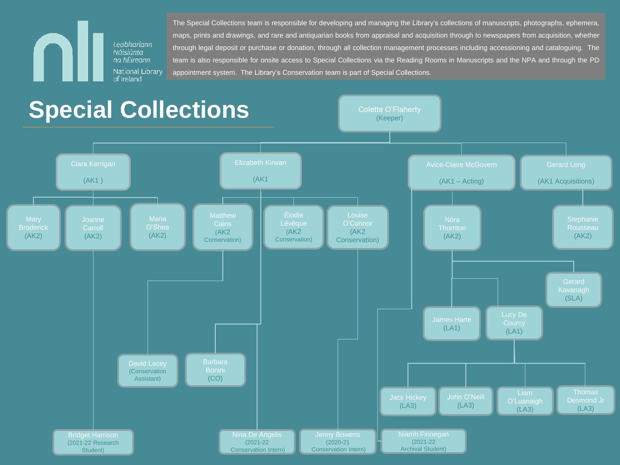The Special Collections team is responsible for developing and managing the Library's collections of manuscripts, photographs, ephemera, maps, prints and drawings, and rare and antiquarian books from appraisal and acquisition through to newspapers from acquisition, whether through legal deposit or purchase or donation, through all collection management processes including accessioning and cataloguing. The team is also responsible for onsite access to Special Collections via the Reading Rooms in Manuscripts and the NPA and through the PD appointment system. The Library's Conservation team is part of Special Collections.



Leabharlann Náisiúnta na hÉireann National Library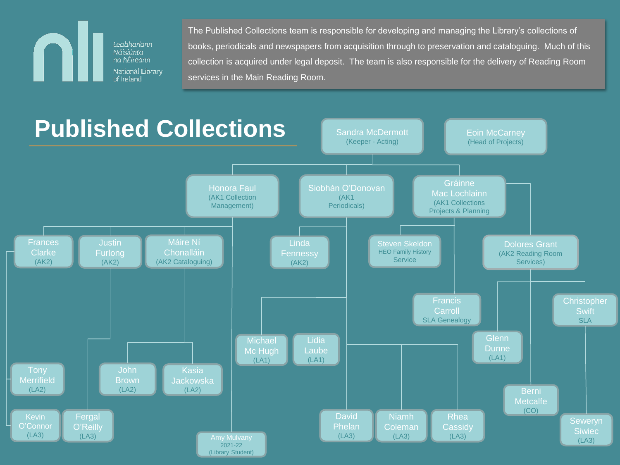Leabharlann Náisiúnta na hÉireann-National Library of Ireland

The Published Collections team is responsible for developing and managing the Library's collections of books, periodicals and newspapers from acquisition through to preservation and cataloguing. Much of this collection is acquired under legal deposit. The team is also responsible for the delivery of Reading Room services in the Main Reading Room.

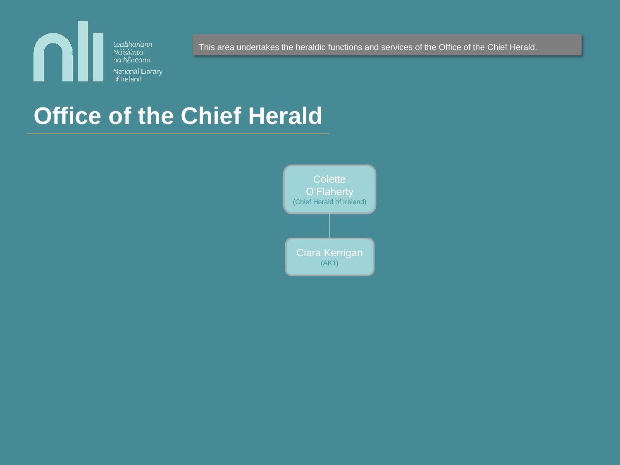

This area undertakes the heraldic functions and services of the Office of the Chief Herald.

## **Office of the Chief Herald**

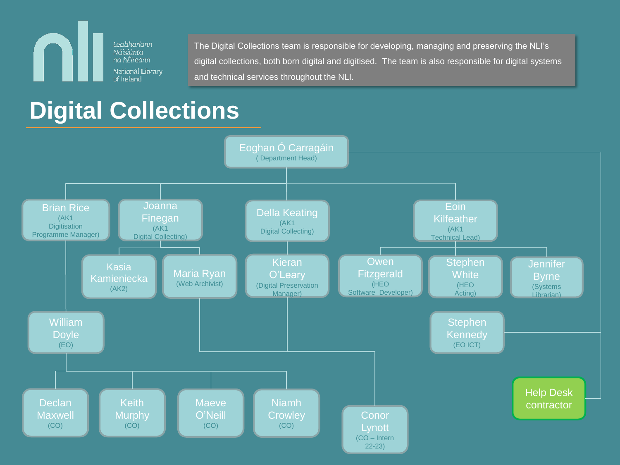Leabharlann Náisiúnta na hÉireann National Library of Ireland

.

The Digital Collections team is responsible for developing, managing and preserving the NLI's digital collections, both born digital and digitised. The team is also responsible for digital systems and technical services throughout the NLI.

### **Digital Collections**

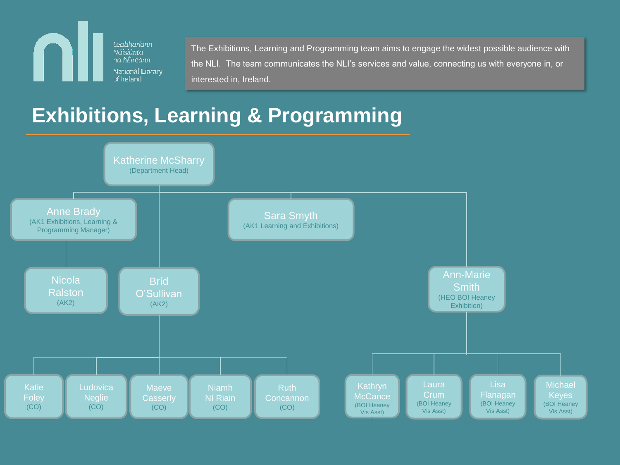Leabharlann L Náisiúnta na hÉireann-National Library of Ireland

The Exhibitions, Learning and Programming team aims to engage the widest possible audience with the NLI. The team communicates the NLI's services and value, connecting us with everyone in, or interested in, Ireland.

### **Exhibitions, Learning & Programming**

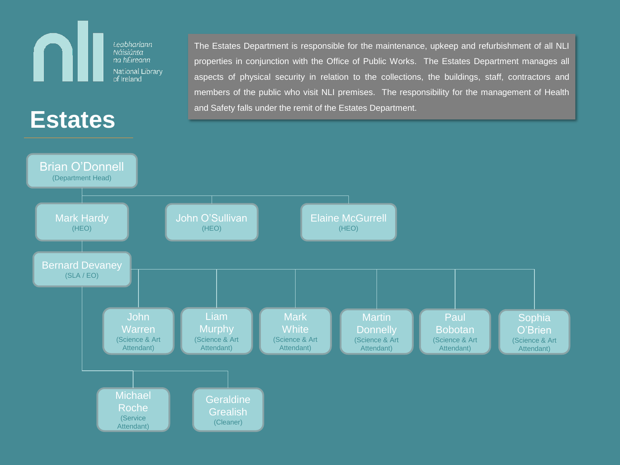## **Estates**

L

Leabharlann

Náisiúnta na hÉireann-National Library of Ireland

The Estates Department is responsible for the maintenance, upkeep and refurbishment of all NLI properties in conjunction with the Office of Public Works. The Estates Department manages all aspects of physical security in relation to the collections, the buildings, staff, contractors and members of the public who visit NLI premises. The responsibility for the management of Health and Safety falls under the remit of the Estates Department.

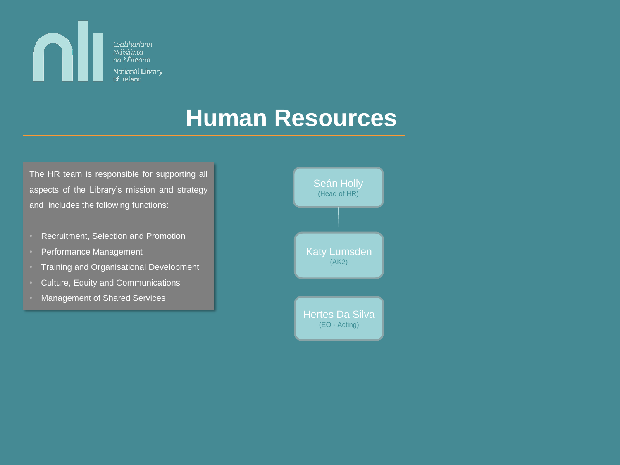

### **Human Resources**

The HR team is responsible for supporting all aspects of the Library's mission and strategy and includes the following functions:

- Recruitment, Selection and Promotion
- Performance Management
- Training and Organisational Development
- Culture, Equity and Communications
- Management of Shared Services

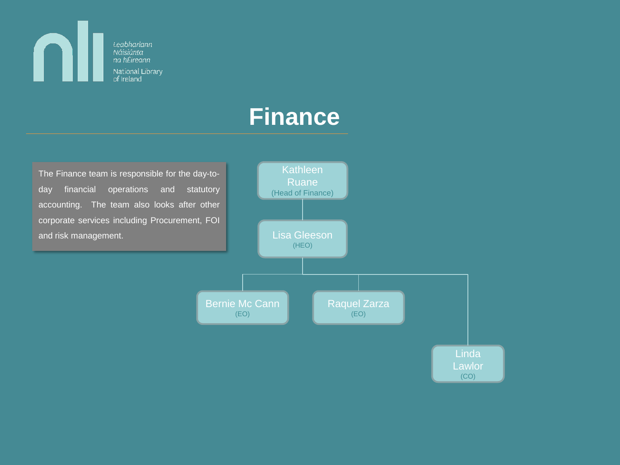Leabharlann Náisiúnta na hÉireann National Library of Ireland

N

### **Finance**

The Finance team is responsible for the day-today financial operations and statutory accounting. The team also looks after other corporate services including Procurement, FOI and risk management. The control of the control of the Lisa Gleeson

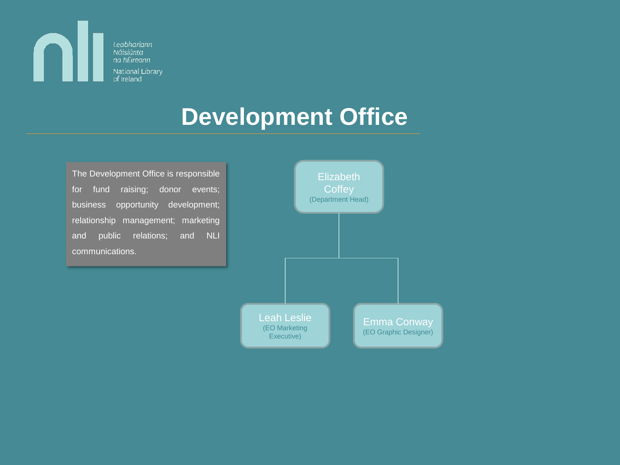

### **Development Office**

The Development Office is responsible for fund raising; donor events; business opportunity development; relationship management; marketing and public relations; and NLI communications.